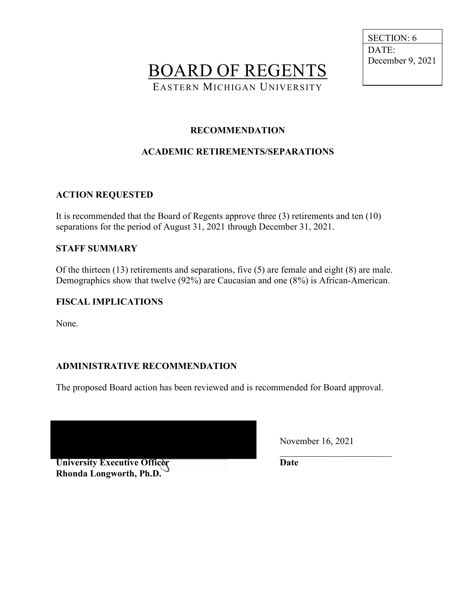BOARD OF REGENTS

EASTERN MICHIGAN UNIVERSITY

 SECTION: 6 DATE: December 9, 2021

## **RECOMMENDATION**

# **ACADEMIC RETIREMENTS/SEPARATIONS**

## **ACTION REQUESTED**

It is recommended that the Board of Regents approve three (3) retirements and ten (10) separations for the period of August 31, 2021 through December 31, 2021.

### **STAFF SUMMARY**

Of the thirteen (13) retirements and separations, five (5) are female and eight (8) are male. Demographics show that twelve (92%) are Caucasian and one (8%) is African-American.

### **FISCAL IMPLICATIONS**

None.

# **ADMINISTRATIVE RECOMMENDATION**

The proposed Board action has been reviewed and is recommended for Board approval.

**University Executive Officer Rhonda Longworth, Ph.D.** 

November 16, 2021

 $\mathcal{L}=\mathcal{L}=\mathcal{L}=\mathcal{L}=\mathcal{L}=\mathcal{L}=\mathcal{L}=\mathcal{L}=\mathcal{L}=\mathcal{L}=\mathcal{L}=\mathcal{L}=\mathcal{L}=\mathcal{L}=\mathcal{L}=\mathcal{L}=\mathcal{L}=\mathcal{L}=\mathcal{L}=\mathcal{L}=\mathcal{L}=\mathcal{L}=\mathcal{L}=\mathcal{L}=\mathcal{L}=\mathcal{L}=\mathcal{L}=\mathcal{L}=\mathcal{L}=\mathcal{L}=\mathcal{L}=\mathcal{L}=\mathcal{L}=\mathcal{L}=\mathcal{L}=\mathcal{L}=\mathcal{$ **Date**